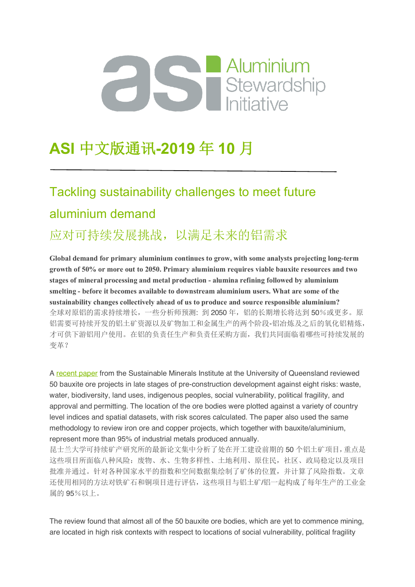## Aluminium Stewardship<br>
Stewardship<br>
Initiative

## **ASI** 中文版通讯**-2019** 年 **10** 月

## Tackling sustainability challenges to meet future aluminium demand

#### 应对可持续发展挑战,以满足未来的铝需求

**Global demand for primary aluminium continues to grow, with some analysts projecting long-term growth of 50% or more out to 2050. Primary aluminium requires viable bauxite resources and two stages of mineral processing and metal production - alumina refining followed by aluminium smelting - before it becomes available to downstream aluminium users. What are some of the sustainability changes collectively ahead of us to produce and source responsible aluminium?** 全球对原铝的需求持续增长,一些分析师预测:到2050年,铝的长期增长将达到50%或更多。原 铝需要可持续开发的铝土矿资源以及矿物加工和金属生产的两个阶段-铝冶炼及之后的氧化铝精炼, 才可供下游铝用户使用。在铝的负责任生产和负责任采购方面,我们共同面临着哪些可持续发展的 变革?

A recent paper from the Sustainable Minerals Institute at the University of Queensland reviewed 50 bauxite ore projects in late stages of pre-construction development against eight risks: waste, water, biodiversity, land uses, indigenous peoples, social vulnerability, political fragility, and approval and permitting. The location of the ore bodies were plotted against a variety of country level indices and spatial datasets, with risk scores calculated. The paper also used the same methodology to review iron ore and copper projects, which together with bauxite/aluminium, represent more than 95% of industrial metals produced annually.

昆士兰大学可持续矿产研究所的最新论文集中分析了处在开工建设前期的 50 个铝土矿项目,重点是 这些项目所面临八种风险:废物、水、生物多样性、土地利用、原住民,社区、政局稳定以及项目 批准并通过。针对各种国家水平的指数和空间数据集绘制了矿体的位置,并计算了风险指数。文章 还使用相同的方法对铁矿石和铜项目进行评估,这些项目与铝土矿/铝一起构成了每年生产的工业金 属的 95%以上。

The review found that almost all of the 50 bauxite ore bodies, which are yet to commence mining, are located in high risk contexts with respect to locations of social vulnerability, political fragility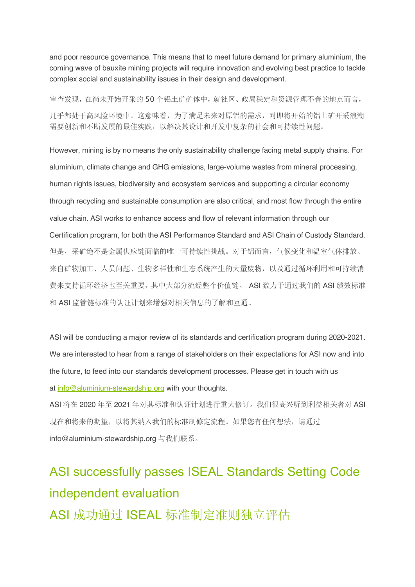and poor resource governance. This means that to meet future demand for primary aluminium, the coming wave of bauxite mining projects will require innovation and evolving best practice to tackle complex social and sustainability issues in their design and development.

审查发现,在尚未开始开采的 50 个铝土矿矿体中,就社区、政局稳定和资源管理不善的地点而言, 几乎都处于高风险环境中。这意味着,为了满足未来对原铝的需求,对即将开始的铝土矿开采浪潮 需要创新和不断发展的最佳实践,以解决其设计和开发中复杂的社会和可持续性问题。

However, mining is by no means the only sustainability challenge facing metal supply chains. For aluminium, climate change and GHG emissions, large-volume wastes from mineral processing, human rights issues, biodiversity and ecosystem services and supporting a circular economy through recycling and sustainable consumption are also critical, and most flow through the entire value chain. ASI works to enhance access and flow of relevant information through our Certification program, for both the ASI Performance Standard and ASI Chain of Custody Standard. 但是,采矿绝不是金属供应链面临的唯一可持续性挑战。对于铝而言,气候变化和温室气体排放、 来自矿物加工、人员问题、生物多样性和生态系统产生的大量废物,以及通过循环利用和可持续消 费来支持循环经济也至关重要,其中大部分流经整个价值链。 ASI 致力于通过我们的 ASI 绩效标准 和 ASI 监管链标准的认证计划来增强对相关信息的了解和互通。

ASI will be conducting a major review of its standards and certification program during 2020-2021. We are interested to hear from a range of stakeholders on their expectations for ASI now and into the future, to feed into our standards development processes. Please get in touch with us at info@aluminium-stewardship.org with your thoughts.

ASI 将在 2020 年至 2021 年对其标准和认证计划进行重大修订。我们很高兴听到利益相关者对 ASI 现在和将来的期望,以将其纳入我们的标准制修定流程。如果您有任何想法,请通过 info@aluminium-stewardship.org 与我们联系。

## ASI successfully passes ISEAL Standards Setting Code independent evaluation ASI 成功通过 ISEAL 标准制定准则独立评估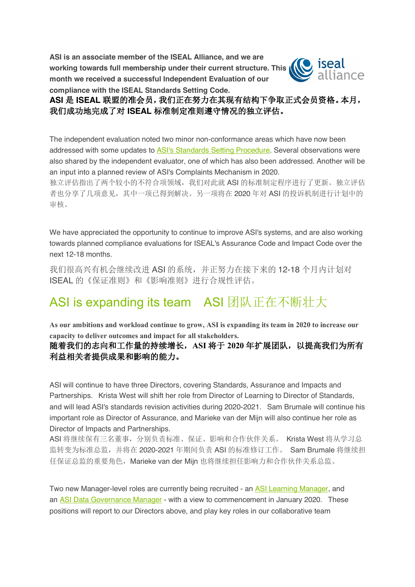**ASI is an associate member of the ISEAL Alliance, and we are working towards full membership under their current structure. This month we received a successful Independent Evaluation of our compliance with the ISEAL Standards Setting Code.**



**ASI** 是 **ISEAL** 联盟的准会员,我们正在努力在其现有结构下争取正式会员资格。本月, 我们成功地完成了对 **ISEAL** 标准制定准则遵守情况的独立评估。

The independent evaluation noted two minor non-conformance areas which have now been addressed with some updates to ASI's Standards Setting Procedure. Several observations were also shared by the independent evaluator, one of which has also been addressed. Another will be an input into a planned review of ASI's Complaints Mechanism in 2020.

独立评估指出了两个较小的不符合项领域,我们对此就 ASI 的标准制定程序进行了更新。独立评估 者也分享了几项意见,其中一项已得到解决。另一项将在 2020 年对 ASI 的投诉机制进行计划中的 审核。

We have appreciated the opportunity to continue to improve ASI's systems, and are also working towards planned compliance evaluations for ISEAL's Assurance Code and Impact Code over the next 12-18 months.

我们很高兴有机会继续改进 ASI 的系统,并正努力在接下来的 12-18 个月内计划对 ISEAL 的《保证准则》和《影响准则》进行合规性评估。

#### ASI is expanding its team ASI 团队正在不断壮大

**As our ambitions and workload continue to grow, ASI is expanding its team in 2020 to increase our capacity to deliver outcomes and impact for all stakeholders.**

#### 随着我们的志向和工作量的持续增长,**ASI** 将于 **2020** 年扩展团队,以提高我们为所有 利益相关者提供成果和影响的能力。

ASI will continue to have three Directors, covering Standards, Assurance and Impacts and Partnerships. Krista West will shift her role from Director of Learning to Director of Standards, and will lead ASI's standards revision activities during 2020-2021. Sam Brumale will continue his important role as Director of Assurance, and Marieke van der Mijn will also continue her role as Director of Impacts and Partnerships.

ASI 将继续保有三名董事,分别负责标准、保证、影响和合作伙伴关系。 Krista West 将从学习总 监转变为标准总监,并将在 2020-2021 年期间负责 ASI 的标准修订工作。 Sam Brumale 将继续担 任保证总监的重要角色, Marieke van der Mijn 也将继续担任影响力和合作伙伴关系总监。

Two new Manager-level roles are currently being recruited - an ASI Learning Manager, and an ASI Data Governance Manager - with a view to commencement in January 2020. These positions will report to our Directors above, and play key roles in our collaborative team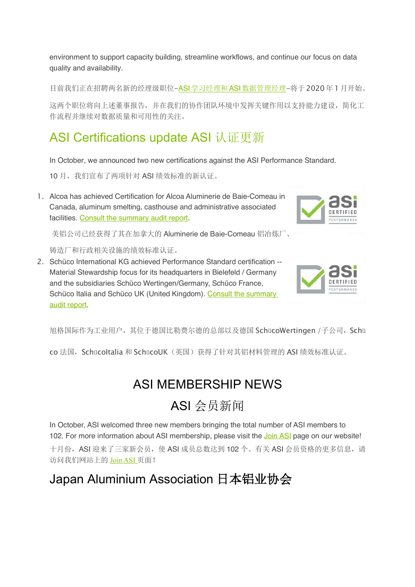environment to support capacity building, streamline workflows, and continue our focus on data quality and availability.

目前我们正在招聘两名新的经理级职位-ASI学习经理和ASI数据管理经理-将于2020年1月开始。

这两个职位将向上述董事报告,并在我们的协作团队环境中发挥关键作用以支持能力建设,简化工 作流程并继续对数据质量和可用性的关注。

#### ASI Certifications update ASI 认证更新

In October, we announced two new certifications against the ASI Performance Standard.

10 月, 我们宣布了两项针对 ASI 绩效标准的新认证。

1. Alcoa has achieved Certification for Alcoa Aluminerie de Baie-Comeau in Canada, aluminum smelting, casthouse and administrative associated facilities. Consult the summary audit report.

美铝公司已经获得了其在加拿大的 Aluminerie de Baie-Comeau 铝冶炼厂、

铸造厂和行政相关设施的绩效标准认证。

2. Schüco International KG achieved Performance Standard certification -- Material Stewardship focus for its headquarters in Bielefeld / Germany and the subsidiaries Schüco Wertingen/Germany, Schüco France, Schüco Italia and Schüco UK (United Kingdom). Consult the summary audit report.



旭格国际作为工业用户,其位于德国比勒费尔德的总部以及德国 SchücoWertingen /子公司, Schü

co 法国, Schücoltalia 和 SchücoUK (英国) 获得了针对其铝材料管理的 ASI 绩效标准认证。

#### ASI MEMBERSHIP NEWS

### ASI 会员新闻

In October, ASI welcomed three new members bringing the total number of ASI members to 102. For more information about ASI membership, please visit the Join ASI page on our website! 十月份, ASI 迎来了三家新会员, 使 ASI 成员总数达到 102 个。有关 ASI 会员资格的更多信息, 请 访问我们网站上的 Join ASI 页面!

#### Japan Aluminium Association 日本铝业协会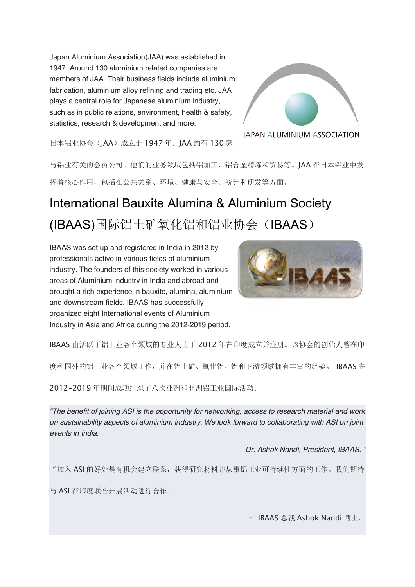Japan Aluminium Association(JAA) was established in 1947. Around 130 aluminium related companies are members of JAA. Their business fields include aluminium fabrication, aluminium alloy refining and trading etc. JAA plays a central role for Japanese aluminium industry, such as in public relations, environment, health & safety, statistics, research & development and more.



日本铝业协会(JAA)成立于 1947 年。JAA 约有 130 家

与铝业有关的会员公司。他们的业务领域包括铝加工、铝合金精炼和贸易等。JAA 在日本铝业中发 挥着核心作用,包括在公共关系、环境、健康与安全、统计和研发等方面。

## International Bauxite Alumina & Aluminium Society (IBAAS)国际铝土矿氧化铝和铝业协会(IBAAS)

IBAAS was set up and registered in India in 2012 by professionals active in various fields of aluminium industry. The founders of this society worked in various areas of Aluminium industry in India and abroad and brought a rich experience in bauxite, alumina, aluminium and downstream fields. IBAAS has successfully organized eight International events of Aluminium Industry in Asia and Africa during the 2012-2019 period.



IBAAS 由活跃于铝工业各个领域的专业人士于 2012 年在印度成立并注册。该协会的创始人曾在印

度和国外的铝工业各个领域工作,并在铝土矿、氧化铝、铝和下游领域拥有丰富的经验。 IBAAS 在

2012-2019 年期间成功组织了八次亚洲和非洲铝工业国际活动。

*"The benefit of joining ASI is the opportunity for networking, access to research material and work on sustainability aspects of aluminium industry. We look forward to collaborating with ASI on joint events in India.*

*– Dr. Ashok Nandi, President, IBAAS. "*

"加入 ASI 的好处是有机会建立联系,获得研究材料并从事铝工业可持续性方面的工作。我们期待

与 ASI 在印度联合开展活动进行合作。

– IBAAS 总裁 Ashok Nandi 博士。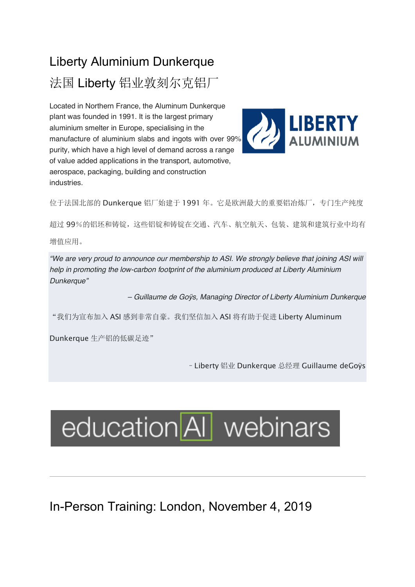## Liberty Aluminium Dunkerque 法国 Liberty 铝业敦刻尔克铝厂

Located in Northern France, the Aluminum Dunkerque plant was founded in 1991. It is the largest primary aluminium smelter in Europe, specialising in the manufacture of aluminium slabs and ingots with over 99% purity, which have a high level of demand across a range of value added applications in the transport, automotive, aerospace, packaging, building and construction industries.



位于法国北部的 Dunkerque 铝厂始建于 1991 年。它是欧洲最大的重要铝冶炼厂,专门生产纯度

超过 99%的铝坯和铸锭,这些铝锭和铸锭在交通、汽车、航空航天、包装、建筑和建筑行业中均有

增值应用。

*"We are very proud to announce our membership to ASI. We strongly believe that joining ASI will help in promoting the low-carbon footprint of the aluminium produced at Liberty Aluminium Dunkerque"*

*– Guillaume de Goÿs, Managing Director of Liberty Aluminium Dunkerque*

"我们为宣布加入 ASI 感到非常自豪。我们坚信加入 ASI 将有助于促进 Liberty Aluminum

Dunkerque 生产铝的低碳足迹"

–Liberty 铝业 Dunkerque 总经理 Guillaume deGoÿs

# education AI webinars

In-Person Training: London, November 4, 2019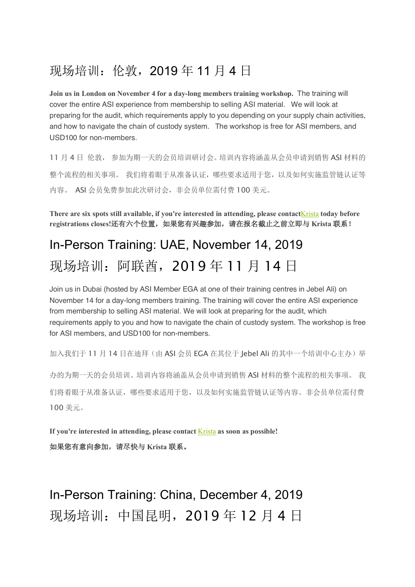#### 现场培训:伦敦,2019 年 11 月 4 日

**Join us in London on November 4 for a day-long members training workshop.** The training will cover the entire ASI experience from membership to selling ASI material. We will look at preparing for the audit, which requirements apply to you depending on your supply chain activities, and how to navigate the chain of custody system. The workshop is free for ASI members, and USD100 for non-members.

11 月 4 日 伦敦, 参加为期一天的会员培训研讨会。培训内容将涵盖从会员申请到销售 ASI 材料的 整个流程的相关事项。 我们将着眼于从准备认证,哪些要求适用于您,以及如何实施监管链认证等 内容。 ASI 会员免费参加此次研讨会, 非会员单位需付费 100 美元。

**There are six spots still available, if you're interested in attending, please contact**Krista **today before registrations closes!**还有六个位置,如果您有兴趣参加,请在报名截止之前立即与 **Krista** 联系!

### In-Person Training: UAE, November 14, 2019 现场培训:阿联酋,2019 年 11 月 14 日

Join us in Dubai (hosted by ASI Member EGA at one of their training centres in Jebel Ali) on November 14 for a day-long members training. The training will cover the entire ASI experience from membership to selling ASI material. We will look at preparing for the audit, which requirements apply to you and how to navigate the chain of custody system. The workshop is free for ASI members, and USD100 for non-members.

加入我们于 11 月 14 日在迪拜(由 ASI 会员 EGA 在其位于 lebel Ali 的其中一个培训中心主办)举

办的为期一天的会员培训。培训内容将涵盖从会员申请到销售 ASI 材料的整个流程的相关事项。 我 们将着眼于从准备认证,哪些要求适用于您,以及如何实施监管链认证等内容。非会员单位需付费 100 美元。

**If you're interested in attending, please contact** Krista **as soon as possible!** 如果您有意向参加,请尽快与 **Krista** 联系。

In-Person Training: China, December 4, 2019 现场培训:中国昆明,2019 年 12 月 4 日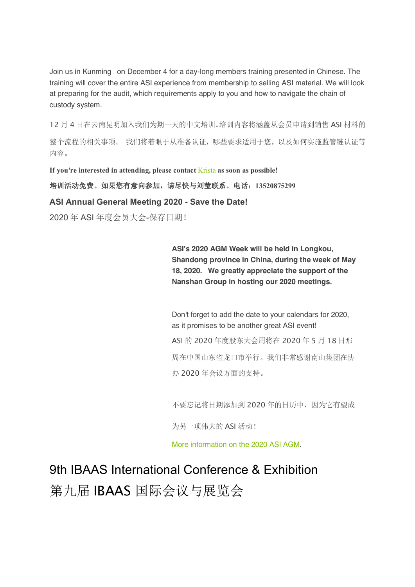Join us in Kunming on December 4 for a day-long members training presented in Chinese. The training will cover the entire ASI experience from membership to selling ASI material. We will look at preparing for the audit, which requirements apply to you and how to navigate the chain of custody system.

12 月 4 日在云南昆明加入我们为期一天的中文培训。培训内容将涵盖从会员申请到销售 ASI 材料的 整个流程的相关事项。 我们将着眼于从准备认证,哪些要求适用于您,以及如何实施监管链认证等 内容。

**If you're interested in attending, please contact** Krista **as soon as possible!**

培训活动免费。如果您有意向参加,请尽快与刘莹联系。电话:**13520875299**

**ASI Annual General Meeting 2020 - Save the Date!**

2020 年 ASI 年度会员大会-保存日期!

**ASI's 2020 AGM Week will be held in Longkou, Shandong province in China, during the week of May 18, 2020. We greatly appreciate the support of the Nanshan Group in hosting our 2020 meetings.**

Don't forget to add the date to your calendars for 2020, as it promises to be another great ASI event! ASI 的 2020 年度股东大会周将在 2020 年 5 月 18 日那 周在中国山东省龙口市举行。我们非常感谢南山集团在协 办 2020 年会议方面的支持。

不要忘记将日期添加到 2020 年的日历中,因为它有望成

为另一项伟大的 ASI 活动!

More information on the 2020 ASI AGM.

9th IBAAS International Conference & Exhibition 第九届 IBAAS 国际会议与展览会